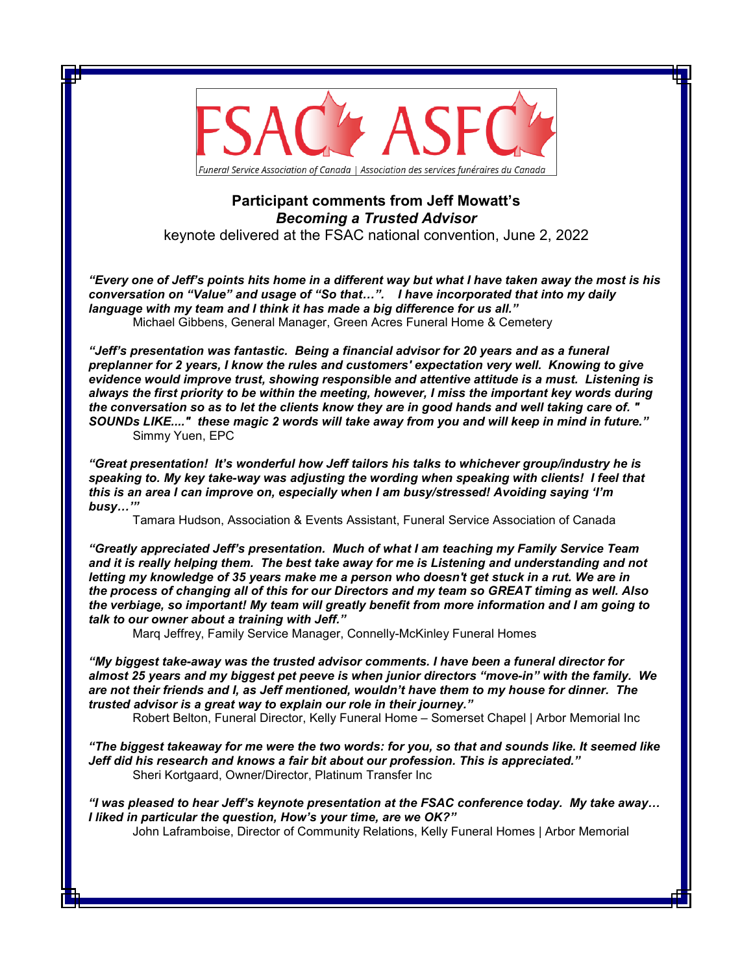

## **Participant comments from Jeff Mowatt's**  *Becoming a Trusted Advisor*

keynote delivered at the FSAC national convention, June 2, 2022

*"Every one of Jeff's points hits home in a different way but what I have taken away the most is his conversation on "Value" and usage of "So that…". I have incorporated that into my daily language with my team and I think it has made a big difference for us all."* Michael Gibbens, General Manager, Green Acres Funeral Home & Cemetery

*"Jeff's presentation was fantastic. Being a financial advisor for 20 years and as a funeral preplanner for 2 years, I know the rules and customers' expectation very well. Knowing to give evidence would improve trust, showing responsible and attentive attitude is a must. Listening is always the first priority to be within the meeting, however, I miss the important key words during the conversation so as to let the clients know they are in good hands and well taking care of. " SOUNDs LIKE...." these magic 2 words will take away from you and will keep in mind in future."*  Simmy Yuen, EPC

*"Great presentation! It's wonderful how Jeff tailors his talks to whichever group/industry he is speaking to. My key take-way was adjusting the wording when speaking with clients! I feel that this is an area I can improve on, especially when I am busy/stressed! Avoiding saying 'I'm busy…'"*

Tamara Hudson, Association & Events Assistant, Funeral Service Association of Canada

*"Greatly appreciated Jeff's presentation. Much of what I am teaching my Family Service Team and it is really helping them. The best take away for me is Listening and understanding and not letting my knowledge of 35 years make me a person who doesn't get stuck in a rut. We are in the process of changing all of this for our Directors and my team so GREAT timing as well. Also the verbiage, so important! My team will greatly benefit from more information and I am going to talk to our owner about a training with Jeff."*

Marq Jeffrey, Family Service Manager, Connelly-McKinley Funeral Homes

*"My biggest take-away was the trusted advisor comments. I have been a funeral director for almost 25 years and my biggest pet peeve is when junior directors "move-in" with the family. We are not their friends and I, as Jeff mentioned, wouldn't have them to my house for dinner. The trusted advisor is a great way to explain our role in their journey."*

Robert Belton, Funeral Director, Kelly Funeral Home – Somerset Chapel | Arbor Memorial Inc

*"The biggest takeaway for me were the two words: for you, so that and sounds like. It seemed like Jeff did his research and knows a fair bit about our profession. This is appreciated."* Sheri Kortgaard, Owner/Director, Platinum Transfer Inc

*"I was pleased to hear Jeff's keynote presentation at the FSAC conference today. My take away… I liked in particular the question, How's your time, are we OK?"*

John Laframboise, Director of Community Relations, Kelly Funeral Homes | Arbor Memorial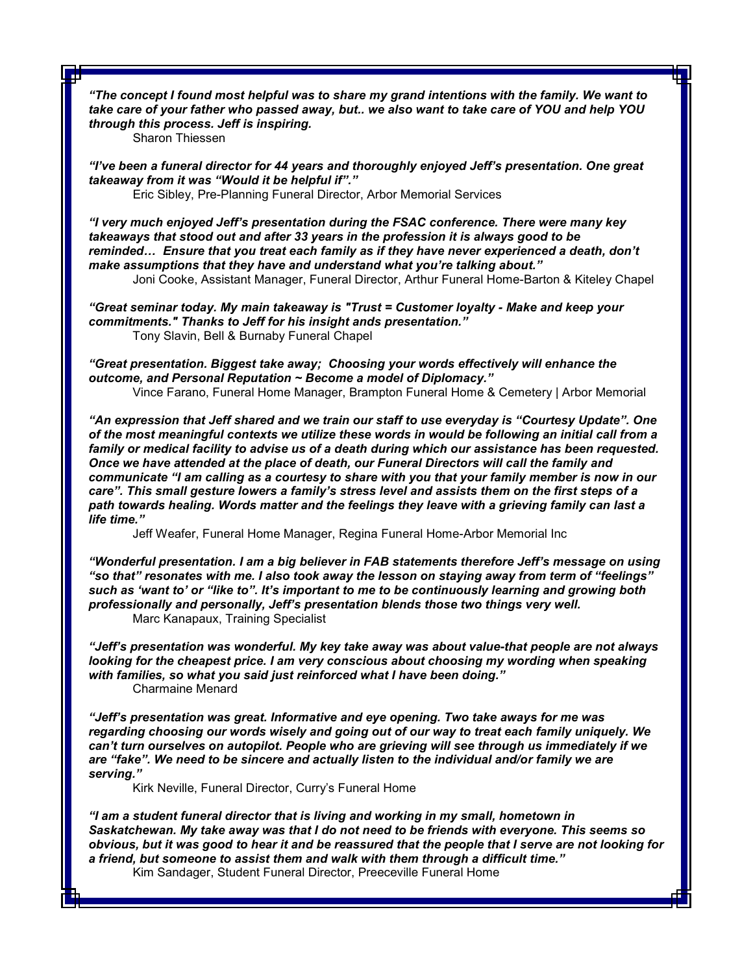*"The concept I found most helpful was to share my grand intentions with the family. We want to take care of your father who passed away, but.. we also want to take care of YOU and help YOU through this process. Jeff is inspiring.*

Sharon Thiessen

*"I've been a funeral director for 44 years and thoroughly enjoyed Jeff's presentation. One great takeaway from it was "Would it be helpful if"."*

Eric Sibley, Pre-Planning Funeral Director, Arbor Memorial Services

*"I very much enjoyed Jeff's presentation during the FSAC conference. There were many key takeaways that stood out and after 33 years in the profession it is always good to be reminded… Ensure that you treat each family as if they have never experienced a death, don't make assumptions that they have and understand what you're talking about."*

Joni Cooke, Assistant Manager, Funeral Director, Arthur Funeral Home-Barton & Kiteley Chapel

*"Great seminar today. My main takeaway is "Trust = Customer loyalty - Make and keep your commitments." Thanks to Jeff for his insight ands presentation."* Tony Slavin, Bell & Burnaby Funeral Chapel

*"Great presentation. Biggest take away; Choosing your words effectively will enhance the outcome, and Personal Reputation ~ Become a model of Diplomacy."* Vince Farano, Funeral Home Manager, Brampton Funeral Home & Cemetery | Arbor Memorial

*"An expression that Jeff shared and we train our staff to use everyday is "Courtesy Update". One of the most meaningful contexts we utilize these words in would be following an initial call from a family or medical facility to advise us of a death during which our assistance has been requested. Once we have attended at the place of death, our Funeral Directors will call the family and communicate "I am calling as a courtesy to share with you that your family member is now in our care". This small gesture lowers a family's stress level and assists them on the first steps of a path towards healing. Words matter and the feelings they leave with a grieving family can last a life time."* 

Jeff Weafer, Funeral Home Manager, Regina Funeral Home-Arbor Memorial Inc

*"Wonderful presentation. I am a big believer in FAB statements therefore Jeff's message on using "so that" resonates with me. I also took away the lesson on staying away from term of "feelings" such as 'want to' or "like to". It's important to me to be continuously learning and growing both professionally and personally, Jeff's presentation blends those two things very well.*  Marc Kanapaux, Training Specialist

*"Jeff's presentation was wonderful. My key take away was about value-that people are not always looking for the cheapest price. I am very conscious about choosing my wording when speaking with families, so what you said just reinforced what I have been doing."*

Charmaine Menard

*"Jeff's presentation was great. Informative and eye opening. Two take aways for me was regarding choosing our words wisely and going out of our way to treat each family uniquely. We can't turn ourselves on autopilot. People who are grieving will see through us immediately if we are "fake". We need to be sincere and actually listen to the individual and/or family we are serving."*

Kirk Neville, Funeral Director, Curry's Funeral Home

*"I am a student funeral director that is living and working in my small, hometown in Saskatchewan. My take away was that I do not need to be friends with everyone. This seems so obvious, but it was good to hear it and be reassured that the people that I serve are not looking for a friend, but someone to assist them and walk with them through a difficult time."* Kim Sandager, Student Funeral Director, Preeceville Funeral Home